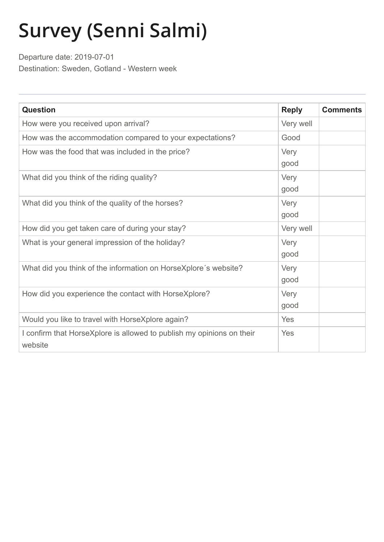## **Survey (Senni Salmi)**

Departure date: 2019-07-01 Destination: Sweden, Gotland - Western week

| <b>Question</b>                                                                  | <b>Reply</b> | <b>Comments</b> |
|----------------------------------------------------------------------------------|--------------|-----------------|
| How were you received upon arrival?                                              | Very well    |                 |
| How was the accommodation compared to your expectations?                         | Good         |                 |
| How was the food that was included in the price?                                 | Very<br>good |                 |
| What did you think of the riding quality?                                        | Very<br>good |                 |
| What did you think of the quality of the horses?                                 | Very<br>good |                 |
| How did you get taken care of during your stay?                                  | Very well    |                 |
| What is your general impression of the holiday?                                  | Very<br>good |                 |
| What did you think of the information on HorseXplore's website?                  | Very<br>good |                 |
| How did you experience the contact with HorseXplore?                             | Very<br>good |                 |
| Would you like to travel with HorseXplore again?                                 | Yes          |                 |
| I confirm that HorseXplore is allowed to publish my opinions on their<br>website | Yes          |                 |